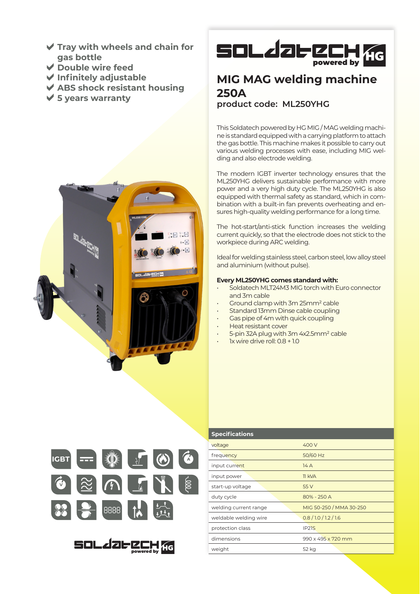- **Tray with wheels and chain for gas bottle**
- **Double wire feed**
- **Infinitely adjustable**
- **ABS shock resistant housing**
- **5 years warranty**





# **MIG MAG welding machine 250A**

### **product code: ML250YHG**

This Soldatech powered by HG MIG / MAG welding machine is standard equipped with a carrying platform to attach the gas bottle. This machine makes it possible to carry out various welding processes with ease, including MIG welding and also electrode welding.

The modern IGBT inverter technology ensures that the ML250YHG delivers sustainable performance with more power and a very high duty cycle. The ML250YHG is also equipped with thermal safety as standard, which in combination with a built-in fan prevents overheating and ensures high-quality welding performance for a long time.

The hot-start/anti-stick function increases the welding current quickly, so that the electrode does not stick to the workpiece during ARC welding.

Ideal for welding stainless steel, carbon steel, low alloy steel and aluminium (without pulse).

#### **Every ML250YHG comes standard with:**

- Soldatech MLT24M3 MIG torch with Euro connector and 3m cable
- Ground clamp with 3m 25mm² cable
- Standard 13mm Dinse cable coupling
- Gas pipe of 4m with quick coupling
- Heat resistant cover
- 5-pin 32A plug with 3m 4x2.5mm² cable
- 1x wire drive roll: 0.8 + 1.0



**SOL 2062** 

powered by

| <b>Specifications</b> |                         |
|-----------------------|-------------------------|
| voltage               | 400 V                   |
| frequency             | 50/60 Hz                |
| input current         | 14A                     |
| input power           | <b>11 kVA</b>           |
| start-up voltage      | 55 V                    |
| duty cycle            | 80% - 250 A             |
| welding current range | MIG 50-250 / MMA 30-250 |
| weldable welding wire | 0.8/1.0/1.2/1.6         |
| protection class      | IP21S                   |
| dimensions            | 990 x 495 x 720 mm      |
| weight                | 52 kg                   |
|                       |                         |